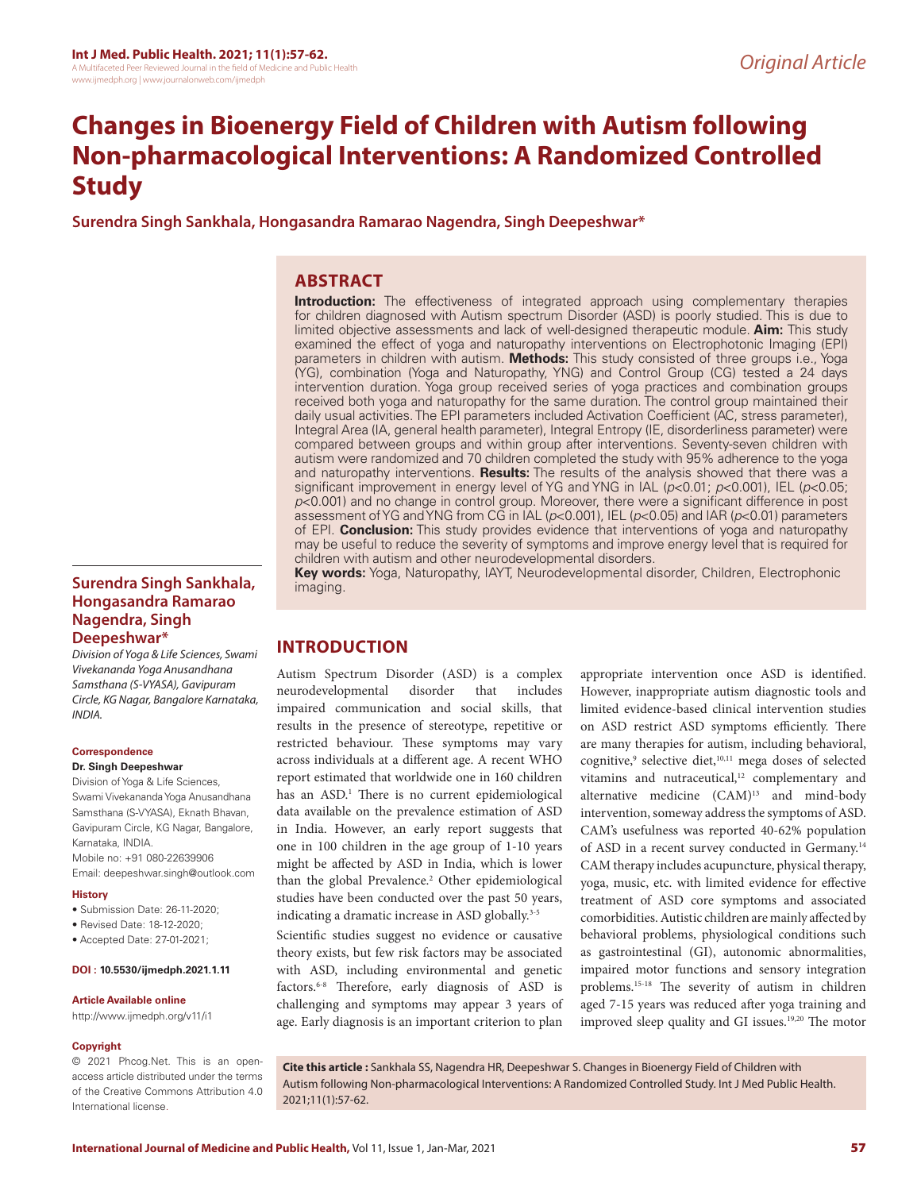# **Changes in Bioenergy Field of Children with Autism following Non-pharmacological Interventions: A Randomized Controlled Study**

**Surendra Singh Sankhala, Hongasandra Ramarao Nagendra, Singh Deepeshwar\***

# **ABSTRACT**

**Introduction:** The effectiveness of integrated approach using complementary therapies for children diagnosed with Autism spectrum Disorder (ASD) is poorly studied. This is due to limited objective assessments and lack of well-designed therapeutic module. **Aim:** This study examined the effect of yoga and naturopathy interventions on Electrophotonic Imaging (EPI) parameters in children with autism. **Methods:** This study consisted of three groups i.e., Yoga (YG), combination (Yoga and Naturopathy, YNG) and Control Group (CG) tested a 24 days intervention duration. Yoga group received series of yoga practices and combination groups received both yoga and naturopathy for the same duration. The control group maintained their daily usual activities. The EPI parameters included Activation Coefficient (AC, stress parameter), Integral Area (IA, general health parameter), Integral Entropy (IE, disorderliness parameter) were compared between groups and within group after interventions. Seventy-seven children with autism were randomized and 70 children completed the study with 95% adherence to the yoga and naturopathy interventions. **Results:** The results of the analysis showed that there was a significant improvement in energy level of YG and YNG in IAL (*p*<0.01; *p*<0.001), IEL (*p*<0.05; *p*<0.001) and no change in control group. Moreover, there were a significant difference in post assessment of YG and YNG from CG in IAL (*p*<0.001), IEL (*p*<0.05) and IAR (*p*<0.01) parameters of EPI. **Conclusion:** This study provides evidence that interventions of yoga and naturopathy may be useful to reduce the severity of symptoms and improve energy level that is required for children with autism and other neurodevelopmental disorders.

**Surendra Singh Sankhala, Hongasandra Ramarao Nagendra, Singh Deepeshwar\***

*Division of Yoga & Life Sciences, Swami Vivekananda Yoga Anusandhana Samsthana (S-VYASA), Gavipuram Circle, KG Nagar, Bangalore Karnataka, INDIA.*

#### **Correspondence**

## **Dr. Singh Deepeshwar**

Division of Yoga & Life Sciences, Swami Vivekananda Yoga Anusandhana Samsthana (S-VYASA), Eknath Bhavan, Gavipuram Circle, KG Nagar, Bangalore, Karnataka, INDIA. Mobile no: +91 080-22639906 Email: deepeshwar.singh@outlook.com

#### **History**

- Submission Date: 26-11-2020;
- Revised Date: 18-12-2020;
- Accepted Date: 27-01-2021;

#### **DOI : 10.5530/ijmedph.2021.1.11**

#### **Article Available online**

http://www.ijmedph.org/v11/i1

#### **Copyright**

© 2021 Phcog.Net. This is an openaccess article distributed under the terms of the Creative Commons Attribution 4.0 International license.

**Key words:** Yoga, Naturopathy, IAYT, Neurodevelopmental disorder, Children, Electrophonic imaging.

## **INTRODUCTION**

Autism Spectrum Disorder (ASD) is a complex neurodevelopmental disorder that includes impaired communication and social skills, that results in the presence of stereotype, repetitive or restricted behaviour. These symptoms may vary across individuals at a different age. A recent WHO report estimated that worldwide one in 160 children has an ASD.<sup>1</sup> There is no current epidemiological data available on the prevalence estimation of ASD in India. However, an early report suggests that one in 100 children in the age group of 1-10 years might be affected by ASD in India, which is lower than the global Prevalence.<sup>2</sup> Other epidemiological studies have been conducted over the past 50 years, indicating a dramatic increase in ASD globally.<sup>3-5</sup>

Scientific studies suggest no evidence or causative theory exists, but few risk factors may be associated with ASD, including environmental and genetic factors.6-8 Therefore, early diagnosis of ASD is challenging and symptoms may appear 3 years of age. Early diagnosis is an important criterion to plan

appropriate intervention once ASD is identified. However, inappropriate autism diagnostic tools and limited evidence-based clinical intervention studies on ASD restrict ASD symptoms efficiently. There are many therapies for autism, including behavioral, cognitive,<sup>9</sup> selective diet,<sup>10,11</sup> mega doses of selected vitamins and nutraceutical,<sup>12</sup> complementary and alternative medicine (CAM)<sup>13</sup> and mind-body intervention, someway address the symptoms of ASD. CAM's usefulness was reported 40-62% population of ASD in a recent survey conducted in Germany.<sup>14</sup> CAM therapy includes acupuncture, physical therapy, yoga, music, etc. with limited evidence for effective treatment of ASD core symptoms and associated comorbidities. Autistic children are mainly affected by behavioral problems, physiological conditions such as gastrointestinal (GI), autonomic abnormalities, impaired motor functions and sensory integration problems.15-18 The severity of autism in children aged 7-15 years was reduced after yoga training and improved sleep quality and GI issues.19,20 The motor

**Cite this article :** Sankhala SS, Nagendra HR, Deepeshwar S. Changes in Bioenergy Field of Children with Autism following Non-pharmacological Interventions: A Randomized Controlled Study. Int J Med Public Health. 2021;11(1):57-62.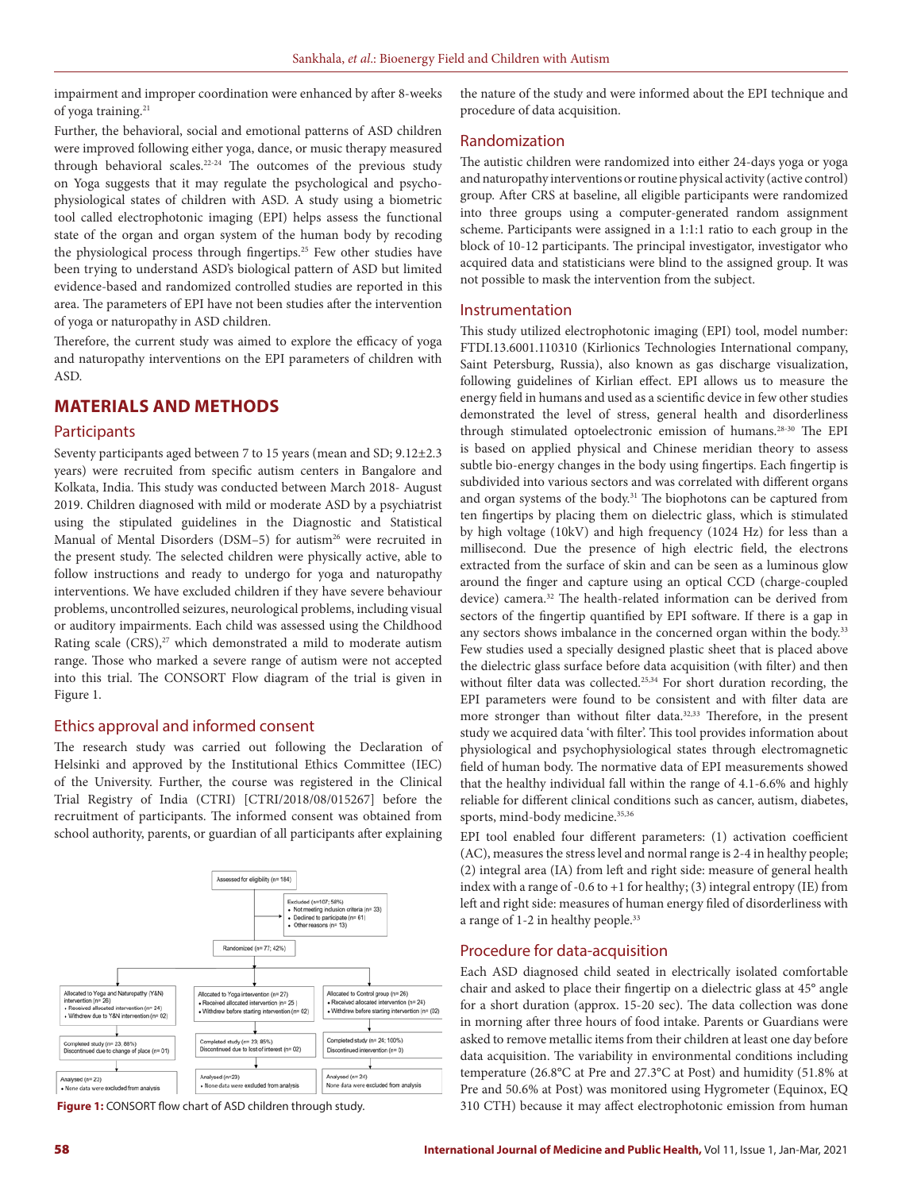impairment and improper coordination were enhanced by after 8-weeks of yoga training.21

Further, the behavioral, social and emotional patterns of ASD children were improved following either yoga, dance, or music therapy measured through behavioral scales.22-24 The outcomes of the previous study on Yoga suggests that it may regulate the psychological and psychophysiological states of children with ASD. A study using a biometric tool called electrophotonic imaging (EPI) helps assess the functional state of the organ and organ system of the human body by recoding the physiological process through fingertips.<sup>25</sup> Few other studies have been trying to understand ASD's biological pattern of ASD but limited evidence-based and randomized controlled studies are reported in this area. The parameters of EPI have not been studies after the intervention of yoga or naturopathy in ASD children.

Therefore, the current study was aimed to explore the efficacy of yoga and naturopathy interventions on the EPI parameters of children with ASD.

## **MATERIALS AND METHODS**

#### **Participants**

Seventy participants aged between 7 to 15 years (mean and SD; 9.12±2.3 years) were recruited from specific autism centers in Bangalore and Kolkata, India. This study was conducted between March 2018- August 2019. Children diagnosed with mild or moderate ASD by a psychiatrist using the stipulated guidelines in the Diagnostic and Statistical Manual of Mental Disorders (DSM-5) for autism<sup>26</sup> were recruited in the present study. The selected children were physically active, able to follow instructions and ready to undergo for yoga and naturopathy interventions. We have excluded children if they have severe behaviour problems, uncontrolled seizures, neurological problems, including visual or auditory impairments. Each child was assessed using the Childhood Rating scale (CRS),<sup>27</sup> which demonstrated a mild to moderate autism range. Those who marked a severe range of autism were not accepted into this trial. The CONSORT Flow diagram of the trial is given in Figure 1.

#### Ethics approval and informed consent

The research study was carried out following the Declaration of Helsinki and approved by the Institutional Ethics Committee (IEC) of the University. Further, the course was registered in the Clinical Trial Registry of India (CTRI) [CTRI/2018/08/015267] before the recruitment of participants. The informed consent was obtained from school authority, parents, or guardian of all participants after explaining



the nature of the study and were informed about the EPI technique and procedure of data acquisition.

#### Randomization

The autistic children were randomized into either 24-days yoga or yoga and naturopathy interventions or routine physical activity (active control) group. After CRS at baseline, all eligible participants were randomized into three groups using a computer-generated random assignment scheme. Participants were assigned in a 1:1:1 ratio to each group in the block of 10-12 participants. The principal investigator, investigator who acquired data and statisticians were blind to the assigned group. It was not possible to mask the intervention from the subject.

#### Instrumentation

This study utilized electrophotonic imaging (EPI) tool, model number: FTDI.13.6001.110310 (Kirlionics Technologies International company, Saint Petersburg, Russia), also known as gas discharge visualization, following guidelines of Kirlian effect. EPI allows us to measure the energy field in humans and used as a scientific device in few other studies demonstrated the level of stress, general health and disorderliness through stimulated optoelectronic emission of humans.28-30 The EPI is based on applied physical and Chinese meridian theory to assess subtle bio-energy changes in the body using fingertips. Each fingertip is subdivided into various sectors and was correlated with different organs and organ systems of the body.<sup>31</sup> The biophotons can be captured from ten fingertips by placing them on dielectric glass, which is stimulated by high voltage (10kV) and high frequency (1024 Hz) for less than a millisecond. Due the presence of high electric field, the electrons extracted from the surface of skin and can be seen as a luminous glow around the finger and capture using an optical CCD (charge-coupled device) camera.32 The health-related information can be derived from sectors of the fingertip quantified by EPI software. If there is a gap in any sectors shows imbalance in the concerned organ within the body.<sup>33</sup> Few studies used a specially designed plastic sheet that is placed above the dielectric glass surface before data acquisition (with filter) and then without filter data was collected.<sup>25,34</sup> For short duration recording, the EPI parameters were found to be consistent and with filter data are more stronger than without filter data.<sup>32,33</sup> Therefore, in the present study we acquired data 'with filter'. This tool provides information about physiological and psychophysiological states through electromagnetic field of human body. The normative data of EPI measurements showed that the healthy individual fall within the range of 4.1-6.6% and highly reliable for different clinical conditions such as cancer, autism, diabetes, sports, mind-body medicine.<sup>35,36</sup>

EPI tool enabled four different parameters: (1) activation coefficient (AC), measures the stress level and normal range is 2-4 in healthy people; (2) integral area (IA) from left and right side: measure of general health index with a range of -0.6 to +1 for healthy; (3) integral entropy (IE) from left and right side: measures of human energy filed of disorderliness with a range of 1-2 in healthy people.<sup>33</sup>

## Procedure for data-acquisition

Each ASD diagnosed child seated in electrically isolated comfortable chair and asked to place their fingertip on a dielectric glass at 45° angle for a short duration (approx. 15-20 sec). The data collection was done in morning after three hours of food intake. Parents or Guardians were asked to remove metallic items from their children at least one day before data acquisition. The variability in environmental conditions including temperature (26.8°C at Pre and 27.3°C at Post) and humidity (51.8% at Pre and 50.6% at Post) was monitored using Hygrometer (Equinox, EQ **Figure 1:** CONSORT flow chart of ASD children through study. 310 CTH) because it may affect electrophotonic emission from human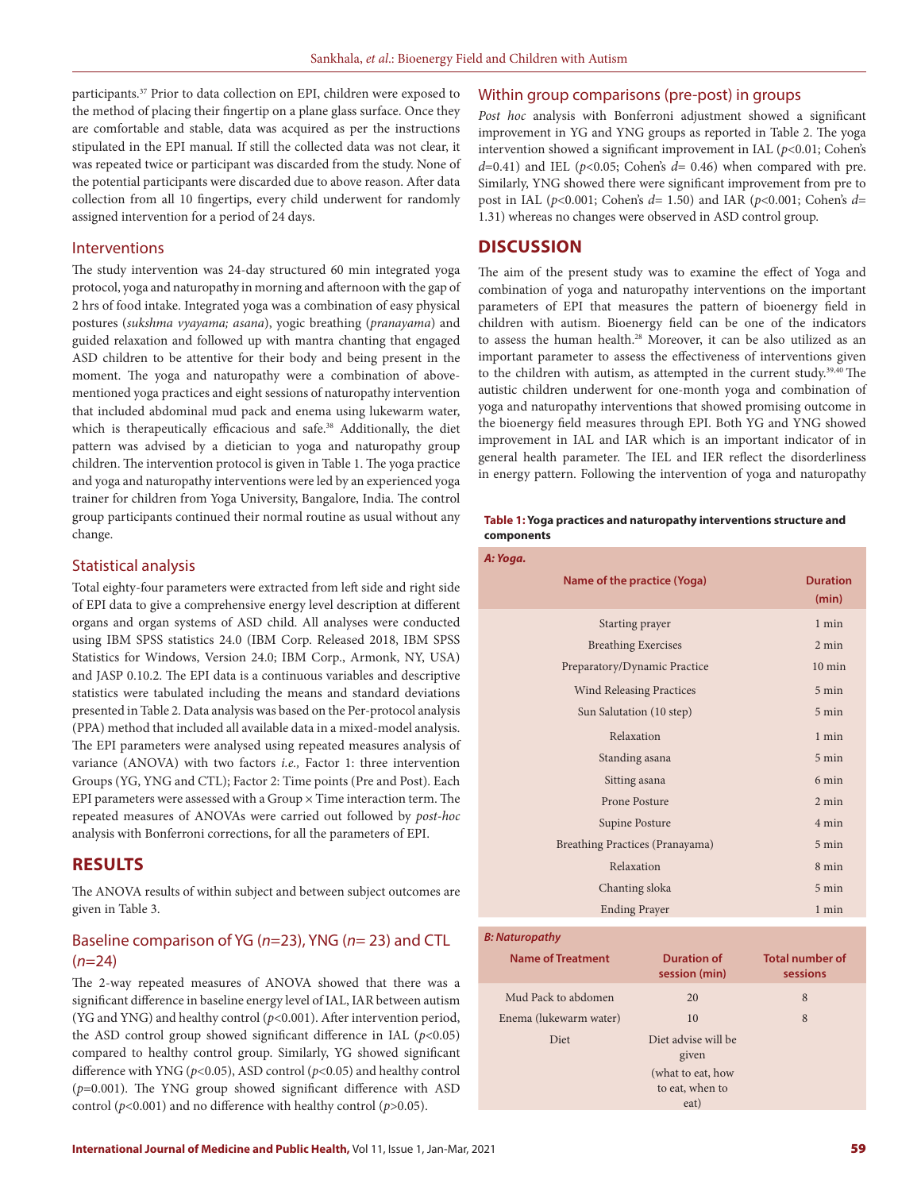participants.37 Prior to data collection on EPI, children were exposed to the method of placing their fingertip on a plane glass surface. Once they are comfortable and stable, data was acquired as per the instructions stipulated in the EPI manual. If still the collected data was not clear, it was repeated twice or participant was discarded from the study. None of the potential participants were discarded due to above reason. After data collection from all 10 fingertips, every child underwent for randomly assigned intervention for a period of 24 days.

#### Interventions

The study intervention was 24-day structured 60 min integrated yoga protocol, yoga and naturopathy in morning and afternoon with the gap of 2 hrs of food intake. Integrated yoga was a combination of easy physical postures (*sukshma vyayama; asana*), yogic breathing (*pranayama*) and guided relaxation and followed up with mantra chanting that engaged ASD children to be attentive for their body and being present in the moment. The yoga and naturopathy were a combination of abovementioned yoga practices and eight sessions of naturopathy intervention that included abdominal mud pack and enema using lukewarm water, which is therapeutically efficacious and safe.<sup>38</sup> Additionally, the diet pattern was advised by a dietician to yoga and naturopathy group children. The intervention protocol is given in Table 1. The yoga practice and yoga and naturopathy interventions were led by an experienced yoga trainer for children from Yoga University, Bangalore, India. The control group participants continued their normal routine as usual without any change.

### Statistical analysis

Total eighty-four parameters were extracted from left side and right side of EPI data to give a comprehensive energy level description at different organs and organ systems of ASD child. All analyses were conducted using IBM SPSS statistics 24.0 (IBM Corp. Released 2018, IBM SPSS Statistics for Windows, Version 24.0; IBM Corp., Armonk, NY, USA) and JASP 0.10.2. The EPI data is a continuous variables and descriptive statistics were tabulated including the means and standard deviations presented in Table 2. Data analysis was based on the Per-protocol analysis (PPA) method that included all available data in a mixed-model analysis. The EPI parameters were analysed using repeated measures analysis of variance (ANOVA) with two factors *i.e.,* Factor 1: three intervention Groups (YG, YNG and CTL); Factor 2: Time points (Pre and Post). Each EPI parameters were assessed with a Group  $\times$  Time interaction term. The repeated measures of ANOVAs were carried out followed by *post-hoc* analysis with Bonferroni corrections, for all the parameters of EPI.

## **RESULTS**

The ANOVA results of within subject and between subject outcomes are given in Table 3.

## Baseline comparison of YG (*n*=23), YNG (*n*= 23) and CTL (*n*=24)

The 2-way repeated measures of ANOVA showed that there was a significant difference in baseline energy level of IAL, IAR between autism (YG and YNG) and healthy control (*p*<0.001). After intervention period, the ASD control group showed significant difference in IAL  $(p<0.05)$ compared to healthy control group. Similarly, YG showed significant difference with YNG (*p*<0.05), ASD control (*p*<0.05) and healthy control (*p*=0.001). The YNG group showed significant difference with ASD control (*p*<0.001) and no difference with healthy control (*p*>0.05).

#### Within group comparisons (pre-post) in groups

*Post hoc* analysis with Bonferroni adjustment showed a significant improvement in YG and YNG groups as reported in Table 2. The yoga intervention showed a significant improvement in IAL (*p*<0.01; Cohen's  $d=0.41$ ) and IEL ( $p<0.05$ ; Cohen's  $d=0.46$ ) when compared with pre. Similarly, YNG showed there were significant improvement from pre to post in IAL (*p*<0.001; Cohen's *d*= 1.50) and IAR (*p*<0.001; Cohen's *d*= 1.31) whereas no changes were observed in ASD control group.

## **DISCUSSION**

The aim of the present study was to examine the effect of Yoga and combination of yoga and naturopathy interventions on the important parameters of EPI that measures the pattern of bioenergy field in children with autism. Bioenergy field can be one of the indicators to assess the human health.<sup>28</sup> Moreover, it can be also utilized as an important parameter to assess the effectiveness of interventions given to the children with autism, as attempted in the current study.39,40 The autistic children underwent for one-month yoga and combination of yoga and naturopathy interventions that showed promising outcome in the bioenergy field measures through EPI. Both YG and YNG showed improvement in IAL and IAR which is an important indicator of in general health parameter. The IEL and IER reflect the disorderliness in energy pattern. Following the intervention of yoga and naturopathy

#### **Table 1: Yoga practices and naturopathy interventions structure and components**

| A: Yoga.                        |                          |
|---------------------------------|--------------------------|
| Name of the practice (Yoga)     | <b>Duration</b><br>(min) |
| Starting prayer                 | $1$ min                  |
| <b>Breathing Exercises</b>      | $2 \text{ min}$          |
| Preparatory/Dynamic Practice    | $10 \text{ min}$         |
| <b>Wind Releasing Practices</b> | 5 min                    |
| Sun Salutation (10 step)        | 5 min                    |
| Relaxation                      | $1$ min                  |
| Standing asana                  | 5 min                    |
| Sitting asana                   | 6 min                    |
| Prone Posture                   | $2 \text{ min}$          |
| Supine Posture                  | 4 min                    |
| Breathing Practices (Pranayama) | 5 min                    |
| Relaxation                      | 8 min                    |
| Chanting sloka                  | 5 min                    |
| <b>Ending Prayer</b>            | $1$ min                  |
|                                 |                          |

## *B: Naturopathy*

| <b>Name of Treatment</b> | <b>Duration of</b><br>session (min) | <b>Total number of</b><br>sessions |
|--------------------------|-------------------------------------|------------------------------------|
| Mud Pack to abdomen      | 20                                  | 8                                  |
| Enema (lukewarm water)   | 10                                  | 8                                  |
| <b>Diet</b>              | Diet advise will be<br>given        |                                    |
|                          | (what to eat, how                   |                                    |
|                          | to eat, when to                     |                                    |
|                          | eat)                                |                                    |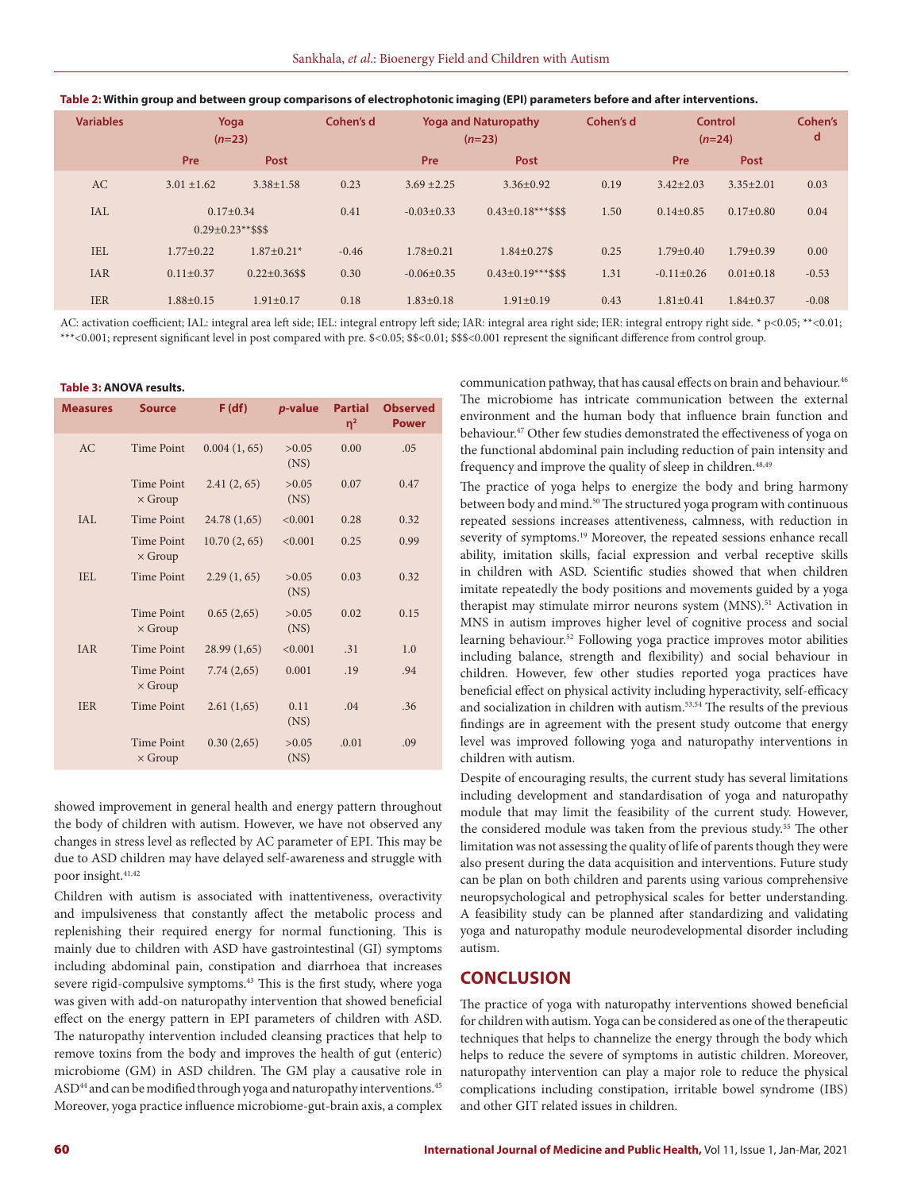| <b>Variables</b> | Yoga<br>$(n=23)$                        |                      | Cohen's d<br><b>Yoga and Naturopathy</b><br>$(n=23)$ |                  |                           | Cohen's d |                  | <b>Control</b><br>$(n=24)$ |         |
|------------------|-----------------------------------------|----------------------|------------------------------------------------------|------------------|---------------------------|-----------|------------------|----------------------------|---------|
|                  | Pre                                     | Post                 |                                                      | Pre              | Post                      |           | Pre              | Post                       |         |
| <b>AC</b>        | $3.01 + 1.62$                           | $3.38 + 1.58$        | 0.23                                                 | $3.69 + 2.25$    | $3.36 + 0.92$             | 0.19      | $3.42 + 2.03$    | $3.35 + 2.01$              | 0.03    |
| <b>IAL</b>       | $0.17+0.34$<br>$0.29 \pm 0.23$ **\$\$\$ |                      | 0.41                                                 | $-0.03+0.33$     | $0.43 \pm 0.18***$ \$\$\$ | 1.50      | $0.14+0.85$      | $0.17+0.80$                | 0.04    |
| <b>IEL</b>       | $1.77 + 0.22$                           | $1.87+0.21*$         | $-0.46$                                              | $1.78 + 0.21$    | $1.84 \pm 0.27$ \$        | 0.25      | $1.79 + 0.40$    | $1.79 + 0.39$              | 0.00    |
| <b>IAR</b>       | $0.11 \pm 0.37$                         | $0.22 \pm 0.36$ \$\$ | 0.30                                                 | $-0.06 \pm 0.35$ | $0.43 \pm 0.19***$ \$\$\$ | 1.31      | $-0.11 \pm 0.26$ | $0.01 \pm 0.18$            | $-0.53$ |
| <b>IER</b>       | $1.88 \pm 0.15$                         | $1.91 \pm 0.17$      | 0.18                                                 | $1.83 \pm 0.18$  | $1.91 \pm 0.19$           | 0.43      | $1.81 \pm 0.41$  | $1.84 \pm 0.37$            | $-0.08$ |

AC: activation coefficient; IAL: integral area left side; IEL: integral entropy left side; IAR: integral area right side; IER: integral entropy right side. \* p<0.05; \*\*<0.01; \*\*\*<0.001; represent significant level in post compared with pre. \$<0.05; \$\$<0.01; \$\$\$<0.001 represent the significant difference from control group.

#### **Table 3: ANOVA results.**

| <b>Measures</b> | <b>Source</b>                       | F(df)        | <i>p</i> -value | <b>Partial</b><br>$\eta^2$ | <b>Observed</b><br><b>Power</b> |
|-----------------|-------------------------------------|--------------|-----------------|----------------------------|---------------------------------|
| AC              | <b>Time Point</b>                   | 0.004(1, 65) | >0.05<br>(NS)   | 0.00                       | .05                             |
|                 | <b>Time Point</b><br>$\times$ Group | 2.41(2, 65)  | >0.05<br>(NS)   | 0.07                       | 0.47                            |
| IAL             | <b>Time Point</b>                   | 24.78 (1,65) | < 0.001         | 0.28                       | 0.32                            |
|                 | <b>Time Point</b><br>$\times$ Group | 10.70(2, 65) | < 0.001         | 0.25                       | 0.99                            |
| IEL             | <b>Time Point</b>                   | 2.29(1,65)   | >0.05<br>(NS)   | 0.03                       | 0.32                            |
|                 | <b>Time Point</b><br>$\times$ Group | 0.65(2,65)   | >0.05<br>(NS)   | 0.02                       | 0.15                            |
| <b>IAR</b>      | <b>Time Point</b>                   | 28.99 (1,65) | < 0.001         | .31                        | 1.0                             |
|                 | <b>Time Point</b><br>$\times$ Group | 7.74(2,65)   | 0.001           | .19                        | .94                             |
| <b>IER</b>      | <b>Time Point</b>                   | 2.61(1,65)   | 0.11<br>(NS)    | .04                        | .36                             |
|                 | <b>Time Point</b><br>$\times$ Group | 0.30(2,65)   | >0.05<br>(NS)   | .0.01                      | .09                             |

showed improvement in general health and energy pattern throughout the body of children with autism. However, we have not observed any changes in stress level as reflected by AC parameter of EPI. This may be due to ASD children may have delayed self-awareness and struggle with poor insight.<sup>41,42</sup>

Children with autism is associated with inattentiveness, overactivity and impulsiveness that constantly affect the metabolic process and replenishing their required energy for normal functioning. This is mainly due to children with ASD have gastrointestinal (GI) symptoms including abdominal pain, constipation and diarrhoea that increases severe rigid-compulsive symptoms.<sup>43</sup> This is the first study, where yoga was given with add-on naturopathy intervention that showed beneficial effect on the energy pattern in EPI parameters of children with ASD. The naturopathy intervention included cleansing practices that help to remove toxins from the body and improves the health of gut (enteric) microbiome (GM) in ASD children. The GM play a causative role in ASD<sup>44</sup> and can be modified through yoga and naturopathy interventions.<sup>45</sup> Moreover, yoga practice influence microbiome-gut-brain axis, a complex communication pathway, that has causal effects on brain and behaviour.<sup>46</sup> The microbiome has intricate communication between the external environment and the human body that influence brain function and behaviour.47 Other few studies demonstrated the effectiveness of yoga on the functional abdominal pain including reduction of pain intensity and frequency and improve the quality of sleep in children.<sup>48,49</sup>

The practice of yoga helps to energize the body and bring harmony between body and mind.<sup>50</sup> The structured yoga program with continuous repeated sessions increases attentiveness, calmness, with reduction in severity of symptoms.<sup>19</sup> Moreover, the repeated sessions enhance recall ability, imitation skills, facial expression and verbal receptive skills in children with ASD. Scientific studies showed that when children imitate repeatedly the body positions and movements guided by a yoga therapist may stimulate mirror neurons system (MNS).<sup>51</sup> Activation in MNS in autism improves higher level of cognitive process and social learning behaviour.<sup>52</sup> Following yoga practice improves motor abilities including balance, strength and flexibility) and social behaviour in children. However, few other studies reported yoga practices have beneficial effect on physical activity including hyperactivity, self-efficacy and socialization in children with autism.53,54 The results of the previous findings are in agreement with the present study outcome that energy level was improved following yoga and naturopathy interventions in children with autism.

Despite of encouraging results, the current study has several limitations including development and standardisation of yoga and naturopathy module that may limit the feasibility of the current study. However, the considered module was taken from the previous study.<sup>55</sup> The other limitation was not assessing the quality of life of parents though they were also present during the data acquisition and interventions. Future study can be plan on both children and parents using various comprehensive neuropsychological and petrophysical scales for better understanding. A feasibility study can be planned after standardizing and validating yoga and naturopathy module neurodevelopmental disorder including autism.

# **CONCLUSION**

The practice of yoga with naturopathy interventions showed beneficial for children with autism. Yoga can be considered as one of the therapeutic techniques that helps to channelize the energy through the body which helps to reduce the severe of symptoms in autistic children. Moreover, naturopathy intervention can play a major role to reduce the physical complications including constipation, irritable bowel syndrome (IBS) and other GIT related issues in children.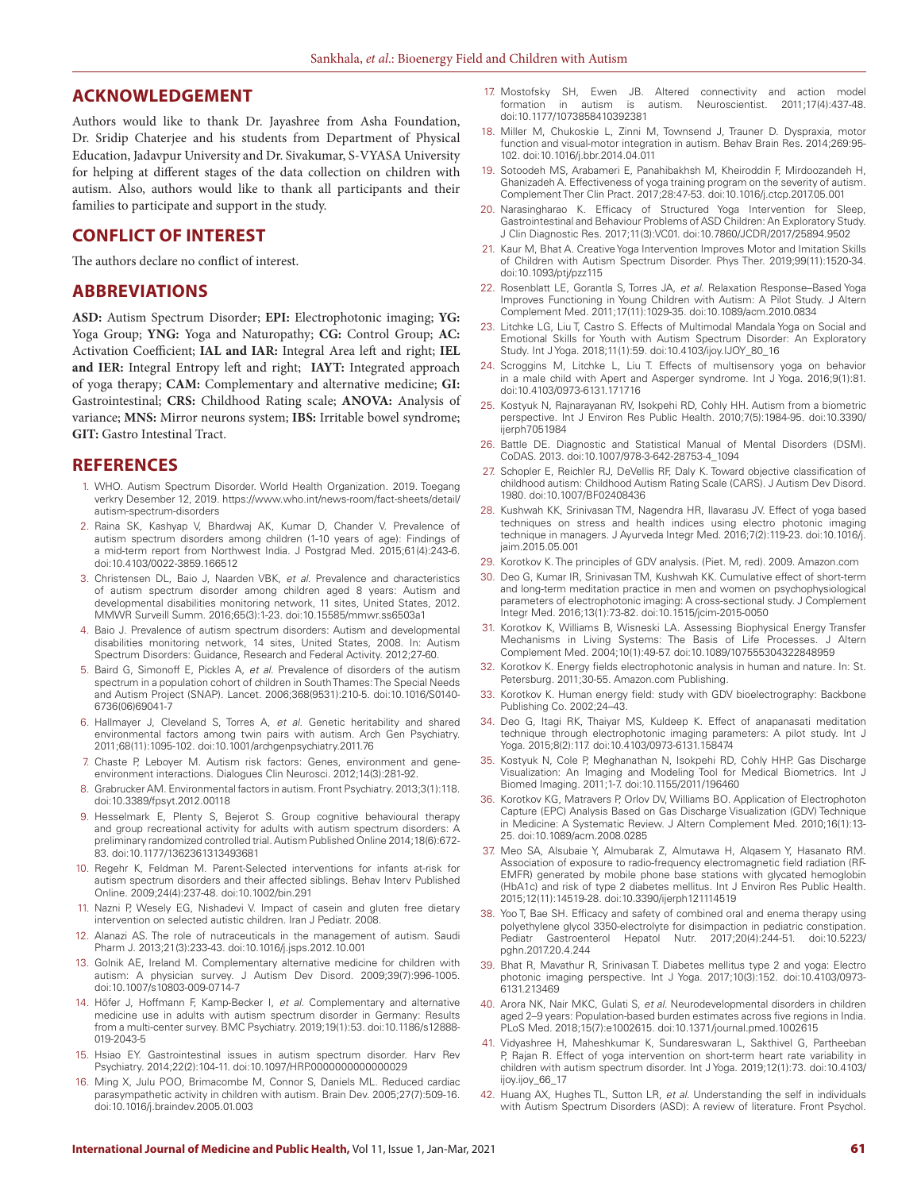#### **ACKNOWLEDGEMENT**

Authors would like to thank Dr. Jayashree from Asha Foundation, Dr. Sridip Chaterjee and his students from Department of Physical Education, Jadavpur University and Dr. Sivakumar, S-VYASA University for helping at different stages of the data collection on children with autism. Also, authors would like to thank all participants and their families to participate and support in the study.

### **CONFLICT OF INTEREST**

The authors declare no conflict of interest.

### **ABBREVIATIONS**

**ASD:** Autism Spectrum Disorder; **EPI:** Electrophotonic imaging; **YG:** Yoga Group; **YNG:** Yoga and Naturopathy; **CG:** Control Group; **AC:** Activation Coefficient; **IAL and IAR:** Integral Area left and right; **IEL and IER:** Integral Entropy left and right; **IAYT:** Integrated approach of yoga therapy; **CAM:** Complementary and alternative medicine; **GI:** Gastrointestinal; **CRS:** Childhood Rating scale; **ANOVA:** Analysis of variance; **MNS:** Mirror neurons system; **IBS:** Irritable bowel syndrome; **GIT:** Gastro Intestinal Tract.

#### **REFERENCES**

- 1. WHO. Autism Spectrum Disorder. World Health Organization. 2019. Toegang verkry Desember 12, 2019. https://www.who.int/news-room/fact-sheets/detail/ autism-spectrum-disorders
- 2. Raina SK, Kashyap V, Bhardwaj AK, Kumar D, Chander V. Prevalence of autism spectrum disorders among children (1-10 years of age): Findings of a mid-term report from Northwest India. J Postgrad Med. 2015;61(4):243-6. doi:10.4103/0022-3859.166512
- 3. Christensen DL, Baio J, Naarden VBK, *et al.* Prevalence and characteristics of autism spectrum disorder among children aged 8 years: Autism and developmental disabilities monitoring network, 11 sites, United States, 2012. MMWR Surveill Summ. 2016;65(3):1-23. doi:10.15585/mmwr.ss6503a1
- 4. Baio J. Prevalence of autism spectrum disorders: Autism and developmental disabilities monitoring network, 14 sites, United States, 2008. In: Autism Spectrum Disorders: Guidance, Research and Federal Activity. 2012;27-60.
- 5. Baird G, Simonoff E, Pickles A, *et al.* Prevalence of disorders of the autism spectrum in a population cohort of children in South Thames: The Special Needs and Autism Project (SNAP). Lancet. 2006;368(9531):210-5. doi:10.1016/S0140- 6736(06)69041-7
- 6. Hallmayer J, Cleveland S, Torres A, *et al.* Genetic heritability and shared environmental factors among twin pairs with autism. Arch Gen Psychiatry. 2011;68(11):1095-102. doi:10.1001/archgenpsychiatry.2011.76
- 7. Chaste P, Leboyer M. Autism risk factors: Genes, environment and geneenvironment interactions. Dialogues Clin Neurosci. 2012;14(3):281-92.
- 8. Grabrucker AM. Environmental factors in autism. Front Psychiatry. 2013;3(1):118. doi:10.3389/fpsyt.2012.00118
- 9. Hesselmark E, Plenty S, Bejerot S. Group cognitive behavioural therapy and group recreational activity for adults with autism spectrum disorders: A preliminary randomized controlled trial. Autism Published Online 2014;18(6):672- 83. doi:10.1177/1362361313493681
- 10. Regehr K, Feldman M. Parent-Selected interventions for infants at-risk for autism spectrum disorders and their affected siblings. Behav Interv Published Online. 2009;24(4):237-48. doi:10.1002/bin.291
- 11. Nazni P, Wesely EG, Nishadevi V. Impact of casein and gluten free dietary intervention on selected autistic children. Iran J Pediatr. 2008.
- 12. Alanazi AS. The role of nutraceuticals in the management of autism. Saudi Pharm J. 2013;21(3):233-43. doi:10.1016/j.jsps.2012.10.001
- 13. Golnik AE, Ireland M. Complementary alternative medicine for children with autism: A physician survey. J Autism Dev Disord. 2009;39(7):996-1005. doi:10.1007/s10803-009-0714-7
- 14. Höfer J, Hoffmann F, Kamp-Becker I, *et al.* Complementary and alternative medicine use in adults with autism spectrum disorder in Germany: Results from a multi-center survey. BMC Psychiatry. 2019;19(1):53. doi:10.1186/s12888- 019-2043-5
- 15. Hsiao EY. Gastrointestinal issues in autism spectrum disorder. Harv Rev Psychiatry. 2014;22(2):104-11. doi:10.1097/HRP.0000000000000029
- 16. Ming X, Julu POO, Brimacombe M, Connor S, Daniels ML. Reduced cardiac parasympathetic activity in children with autism. Brain Dev. 2005;27(7):509-16. doi:10.1016/j.braindev.2005.01.003
- 17. Mostofsky SH, Ewen JB. Altered connectivity and action model formation in autism is autism. Neuroscientist. 2011;17(4):437-48. doi:10.1177/1073858410392381
- 18. Miller M, Chukoskie L, Zinni M, Townsend J, Trauner D. Dyspraxia, motor function and visual-motor integration in autism. Behav Brain Res. 2014;269:95- 102. doi:10.1016/j.bbr.2014.04.011
- 19. Sotoodeh MS, Arabameri E, Panahibakhsh M, Kheiroddin F, Mirdoozandeh H, Ghanizadeh A. Effectiveness of yoga training program on the severity of autism. Complement Ther Clin Pract. 2017;28:47-53. doi:10.1016/j.ctcp.2017.05.001
- 20. Narasingharao K. Efficacy of Structured Yoga Intervention for Sleep, Gastrointestinal and Behaviour Problems of ASD Children: An Exploratory Study. J Clin Diagnostic Res. 2017;11(3):VC01. doi:10.7860/JCDR/2017/25894.9502
- 21. Kaur M, Bhat A. Creative Yoga Intervention Improves Motor and Imitation Skills of Children with Autism Spectrum Disorder. Phys Ther. 2019;99(11):1520-34. doi:10.1093/ptj/pzz115
- 22. Rosenblatt LE, Gorantla S, Torres JA, *et al.* Relaxation Response–Based Yoga Improves Functioning in Young Children with Autism: A Pilot Study. J Altern Complement Med. 2011;17(11):1029-35. doi:10.1089/acm.2010.0834
- 23. Litchke LG, Liu T, Castro S. Effects of Multimodal Mandala Yoga on Social and Emotional Skills for Youth with Autism Spectrum Disorder: An Exploratory Study. Int J Yoga. 2018;11(1):59. doi:10.4103/ijoy.IJOY\_80\_16
- 24. Scroggins M, Litchke L, Liu T. Effects of multisensory yoga on behavior in a male child with Apert and Asperger syndrome. Int J Yoga. 2016;9(1):81. doi:10.4103/0973-6131.171716
- 25. Kostyuk N, Rajnarayanan RV, Isokpehi RD, Cohly HH. Autism from a biometric perspective. Int J Environ Res Public Health. 2010;7(5):1984-95. doi:10.3390/ ijerph7051984
- 26. Battle DE. Diagnostic and Statistical Manual of Mental Disorders (DSM). CoDAS. 2013. doi:10.1007/978-3-642-28753-4\_1094
- 27. Schopler E, Reichler RJ, DeVellis RF, Daly K. Toward objective classification of childhood autism: Childhood Autism Rating Scale (CARS). J Autism Dev Disord. 1980. doi:10.1007/BF02408436
- 28. Kushwah KK, Srinivasan TM, Nagendra HR, Ilavarasu JV. Effect of yoga based techniques on stress and health indices using electro photonic imaging technique in managers. J Ayurveda Integr Med. 2016;7(2):119-23. doi:10.1016/j. jaim.2015.05.001
- 29. Korotkov K. The principles of GDV analysis. (Piet. M, red). 2009. Amazon.com
- 30. Deo G, Kumar IR, Srinivasan TM, Kushwah KK. Cumulative effect of short-term and long-term meditation practice in men and women on psychophysiological parameters of electrophotonic imaging: A cross-sectional study. J Complement Integr Med. 2016;13(1):73-82. doi:10.1515/jcim-2015-0050
- 31. Korotkov K, Williams B, Wisneski LA. Assessing Biophysical Energy Transfer Mechanisms in Living Systems: The Basis of Life Processes. J Altern Complement Med. 2004;10(1):49-57. doi:10.1089/107555304322848959
- 32. Korotkov K. Energy fields electrophotonic analysis in human and nature. In: St. Petersburg. 2011;30-55. Amazon.com Publishing.
- 33. Korotkov K. Human energy field: study with GDV bioelectrography: Backbone Publishing Co. 2002;24–43.
- 34. Deo G, Itagi RK, Thaiyar MS, Kuldeep K. Effect of anapanasati meditation technique through electrophotonic imaging parameters: A pilot study. Int J Yoga. 2015;8(2):117. doi:10.4103/0973-6131.158474
- Kostyuk N, Cole P, Meghanathan N, Isokpehi RD, Cohly HHP. Gas Discharge Visualization: An Imaging and Modeling Tool for Medical Biometrics. Int J Biomed Imaging. 2011;1-7. doi:10.1155/2011/196460
- 36. Korotkov KG, Matravers P, Orlov DV, Williams BO. Application of Electrophoton Capture (EPC) Analysis Based on Gas Discharge Visualization (GDV) Technique in Medicine: A Systematic Review. J Altern Complement Med. 2010;16(1):13- 25. doi:10.1089/acm.2008.0285
- 37. Meo SA, Alsubaie Y, Almubarak Z, Almutawa H, Alqasem Y, Hasanato RM. Association of exposure to radio-frequency electromagnetic field radiation (RF-EMFR) generated by mobile phone base stations with glycated hemoglobin (HbA1c) and risk of type 2 diabetes mellitus. Int J Environ Res Public Health. 2015;12(11):14519-28. doi:10.3390/ijerph121114519
- 38. Yoo T, Bae SH. Efficacy and safety of combined oral and enema therapy using polyethylene glycol 3350-electrolyte for disimpaction in pediatric constipation. Gastroenterol Hepatol Nutr. 2017;20(4):244-51. doi:10.5223/ pghn.2017.20.4.244
- 39. Bhat R, Mavathur R, Srinivasan T. Diabetes mellitus type 2 and yoga: Electro photonic imaging perspective. Int J Yoga. 2017;10(3):152. doi:10.4103/0973- 6131.213469
- 40. Arora NK, Nair MKC, Gulati S, *et al.* Neurodevelopmental disorders in children aged 2–9 years: Population-based burden estimates across five regions in India. PLoS Med. 2018;15(7):e1002615. doi:10.1371/journal.pmed.1002615
- 41. Vidyashree H, Maheshkumar K, Sundareswaran L, Sakthivel G, Partheeban P, Rajan R. Effect of yoga intervention on short-term heart rate variability in children with autism spectrum disorder. Int J Yoga. 2019;12(1):73. doi:10.4103/ ijoy.ijoy\_66\_17
- 42. Huang AX, Hughes TL, Sutton LR, *et al.* Understanding the self in individuals with Autism Spectrum Disorders (ASD): A review of literature. Front Psychol.